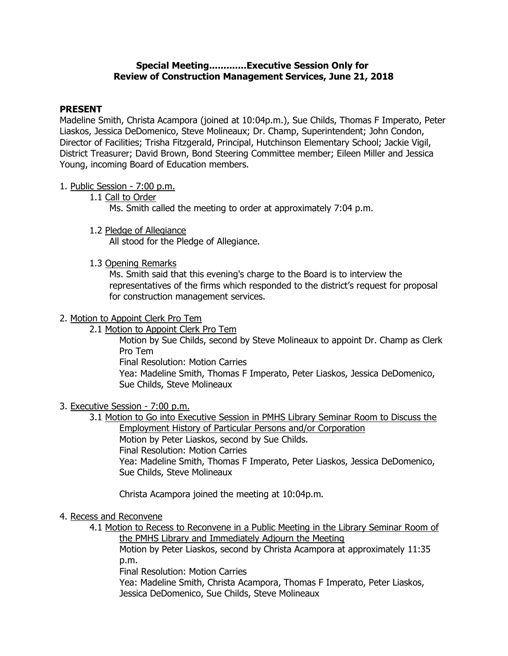## Special Meeting.............Executive Session Only for Review of Construction Management Services, June 21, 2018

## PRESENT

 Madeline Smith, Christa Acampora (joined at 10:04p.m.), Sue Childs, Thomas F Imperato, Peter Liaskos, Jessica DeDomenico, Steve Molineaux; Dr. Champ, Superintendent; John Condon, Director of Facilities; Trisha Fitzgerald, Principal, Hutchinson Elementary School; Jackie Vigil, District Treasurer; David Brown, Bond Steering Committee member; Eileen Miller and Jessica Young, incoming Board of Education members.

- 1. Public Session 7:00 p.m.
	- 1.1 Call to Order

Ms. Smith called the meeting to order at approximately 7:04 p.m.

1.2 Pledge of Allegiance

All stood for the Pledge of Allegiance.

1.3 Opening Remarks

 Ms. Smith said that this evening's charge to the Board is to interview the representatives of the firms which responded to the district's request for proposal for construction management services.

- 2. Motion to Appoint Clerk Pro Tem
	- 2.1 Motion to Appoint Clerk Pro Tem

 Motion by Sue Childs, second by Steve Molineaux to appoint Dr. Champ as Clerk Pro Tem

Final Resolution: Motion Carries

 Yea: Madeline Smith, Thomas F Imperato, Peter Liaskos, Jessica DeDomenico, Sue Childs, Steve Molineaux

3. Executive Session - 7:00 p.m.

 3.1 Motion to Go into Executive Session in PMHS Library Seminar Room to Discuss the Employment History of Particular Persons and/or Corporation Motion by Peter Liaskos, second by Sue Childs. Final Resolution: Motion Carries Yea: Madeline Smith, Thomas F Imperato, Peter Liaskos, Jessica DeDomenico, Sue Childs, Steve Molineaux

Christa Acampora joined the meeting at 10:04p.m.

- 4. Recess and Reconvene
	- 4.1 Motion to Recess to Reconvene in a Public Meeting in the Library Seminar Room of the PMHS Library and Immediately Adjourn the Meeting

 Motion by Peter Liaskos, second by Christa Acampora at approximately 11:35 p.m.

Final Resolution: Motion Carries

 Yea: Madeline Smith, Christa Acampora, Thomas F Imperato, Peter Liaskos, Jessica DeDomenico, Sue Childs, Steve Molineaux